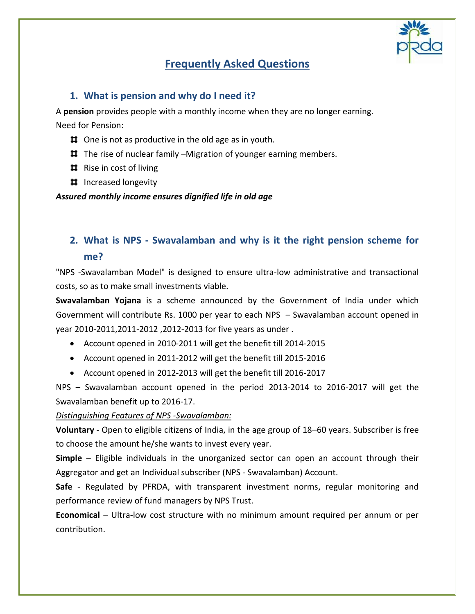

## **Frequently Asked Questions**

#### **1. What is pension and why do I need it?**

A **pension** provides people with a monthly income when they are no longer earning.

Need for Pension:

- $\sharp$  One is not as productive in the old age as in youth.
- $\sharp$  The rise of nuclear family –Migration of younger earning members.
- $\sharp$  Rise in cost of living
- **II** Increased longevity

*Assured monthly income ensures dignified life in old age*

### **2. What is NPS - Swavalamban and why is it the right pension scheme for me?**

"NPS -Swavalamban Model" is designed to ensure ultra-low administrative and transactional costs, so as to make small investments viable.

**Swavalamban Yojana** is a scheme announced by the Government of India under which Government will contribute Rs. 1000 per year to each NPS – Swavalamban account opened in year 2010-2011,2011-2012 ,2012-2013 for five years as under .

- Account opened in 2010-2011 will get the benefit till 2014-2015
- Account opened in 2011-2012 will get the benefit till 2015-2016
- Account opened in 2012-2013 will get the benefit till 2016-2017

NPS – Swavalamban account opened in the period 2013-2014 to 2016-2017 will get the Swavalamban benefit up to 2016-17.

#### *Distinguishing Features of NPS -Swavalamban:*

**Voluntary** - Open to eligible citizens of India, in the age group of 18–60 years. Subscriber is free to choose the amount he/she wants to invest every year.

**Simple** – Eligible individuals in the unorganized sector can open an account through their Aggregator and get an Individual subscriber (NPS - Swavalamban) Account.

**Safe** - Regulated by PFRDA, with transparent investment norms, regular monitoring and performance review of fund managers by NPS Trust.

**Economical** – Ultra-low cost structure with no minimum amount required per annum or per contribution.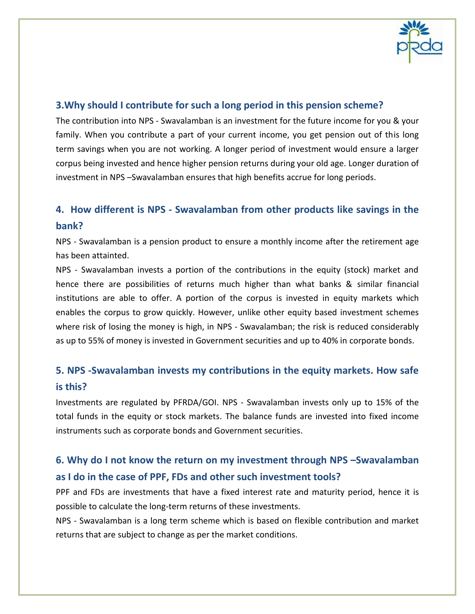

### **3.Why should I contribute for such a long period in this pension scheme?**

The contribution into NPS - Swavalamban is an investment for the future income for you & your family. When you contribute a part of your current income, you get pension out of this long term savings when you are not working. A longer period of investment would ensure a larger corpus being invested and hence higher pension returns during your old age. Longer duration of investment in NPS –Swavalamban ensures that high benefits accrue for long periods.

# **4. How different is NPS - Swavalamban from other products like savings in the bank?**

NPS - Swavalamban is a pension product to ensure a monthly income after the retirement age has been attainted.

NPS - Swavalamban invests a portion of the contributions in the equity (stock) market and hence there are possibilities of returns much higher than what banks & similar financial institutions are able to offer. A portion of the corpus is invested in equity markets which enables the corpus to grow quickly. However, unlike other equity based investment schemes where risk of losing the money is high, in NPS - Swavalamban; the risk is reduced considerably as up to 55% of money is invested in Government securities and up to 40% in corporate bonds.

## **5. NPS -Swavalamban invests my contributions in the equity markets. How safe is this?**

Investments are regulated by PFRDA/GOI. NPS - Swavalamban invests only up to 15% of the total funds in the equity or stock markets. The balance funds are invested into fixed income instruments such as corporate bonds and Government securities.

## **6. Why do I not know the return on my investment through NPS –Swavalamban as I do in the case of PPF, FDs and other such investment tools?**

PPF and FDs are investments that have a fixed interest rate and maturity period, hence it is possible to calculate the long-term returns of these investments.

NPS - Swavalamban is a long term scheme which is based on flexible contribution and market returns that are subject to change as per the market conditions.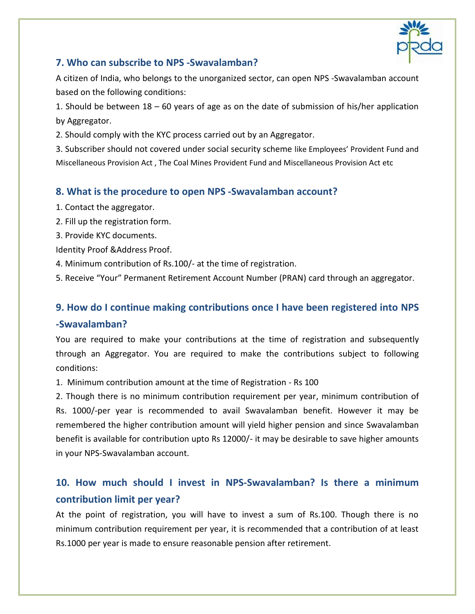

### **7. Who can subscribe to NPS -Swavalamban?**

A citizen of India, who belongs to the unorganized sector, can open NPS -Swavalamban account based on the following conditions:

1. Should be between 18 – 60 years of age as on the date of submission of his/her application by Aggregator.

2. Should comply with the KYC process carried out by an Aggregator.

3. Subscriber should not covered under social security scheme like Employees' Provident Fund and Miscellaneous Provision Act , The Coal Mines Provident Fund and Miscellaneous Provision Act etc

#### **8. What is the procedure to open NPS -Swavalamban account?**

- 1. Contact the aggregator.
- 2. Fill up the registration form.
- 3. Provide KYC documents.

Identity Proof &Address Proof.

4. Minimum contribution of Rs.100/- at the time of registration.

5. Receive "Your" Permanent Retirement Account Number (PRAN) card through an aggregator.

## **9. How do I continue making contributions once I have been registered into NPS -Swavalamban?**

You are required to make your contributions at the time of registration and subsequently through an Aggregator. You are required to make the contributions subject to following conditions:

1. Minimum contribution amount at the time of Registration - Rs 100

2. Though there is no minimum contribution requirement per year, minimum contribution of Rs. 1000/-per year is recommended to avail Swavalamban benefit. However it may be remembered the higher contribution amount will yield higher pension and since Swavalamban benefit is available for contribution upto Rs 12000/- it may be desirable to save higher amounts in your NPS-Swavalamban account.

## **10. How much should I invest in NPS-Swavalamban? Is there a minimum contribution limit per year?**

At the point of registration, you will have to invest a sum of Rs.100. Though there is no minimum contribution requirement per year, it is recommended that a contribution of at least Rs.1000 per year is made to ensure reasonable pension after retirement.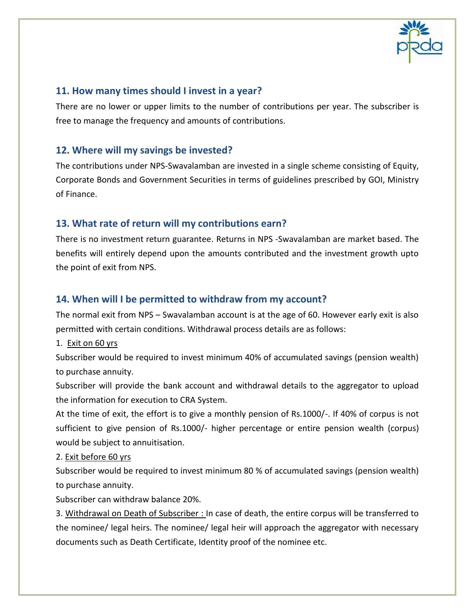

### **11. How many times should I invest in a year?**

There are no lower or upper limits to the number of contributions per year. The subscriber is free to manage the frequency and amounts of contributions.

#### **12. Where will my savings be invested?**

The contributions under NPS-Swavalamban are invested in a single scheme consisting of Equity, Corporate Bonds and Government Securities in terms of guidelines prescribed by GOI, Ministry of Finance.

### **13. What rate of return will my contributions earn?**

There is no investment return guarantee. Returns in NPS -Swavalamban are market based. The benefits will entirely depend upon the amounts contributed and the investment growth upto the point of exit from NPS.

#### **14. When will I be permitted to withdraw from my account?**

The normal exit from NPS – Swavalamban account is at the age of 60. However early exit is also permitted with certain conditions. Withdrawal process details are as follows:

1. Exit on 60 yrs

Subscriber would be required to invest minimum 40% of accumulated savings (pension wealth) to purchase annuity.

Subscriber will provide the bank account and withdrawal details to the aggregator to upload the information for execution to CRA System.

At the time of exit, the effort is to give a monthly pension of Rs.1000/-. If 40% of corpus is not sufficient to give pension of Rs.1000/- higher percentage or entire pension wealth (corpus) would be subject to annuitisation.

#### 2. Exit before 60 yrs

Subscriber would be required to invest minimum 80 % of accumulated savings (pension wealth) to purchase annuity.

Subscriber can withdraw balance 20%.

3. Withdrawal on Death of Subscriber : In case of death, the entire corpus will be transferred to the nominee/ legal heirs. The nominee/ legal heir will approach the aggregator with necessary documents such as Death Certificate, Identity proof of the nominee etc.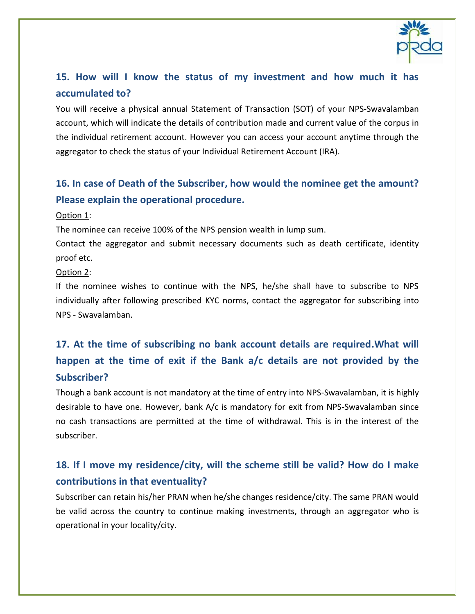

## **15. How will I know the status of my investment and how much it has accumulated to?**

You will receive a physical annual Statement of Transaction (SOT) of your NPS-Swavalamban account, which will indicate the details of contribution made and current value of the corpus in the individual retirement account. However you can access your account anytime through the aggregator to check the status of your Individual Retirement Account (IRA).

## **16. In case of Death of the Subscriber, how would the nominee get the amount? Please explain the operational procedure.**

#### Option 1:

The nominee can receive 100% of the NPS pension wealth in lump sum.

Contact the aggregator and submit necessary documents such as death certificate, identity proof etc.

#### Option 2:

If the nominee wishes to continue with the NPS, he/she shall have to subscribe to NPS individually after following prescribed KYC norms, contact the aggregator for subscribing into NPS - Swavalamban.

# **17. At the time of subscribing no bank account details are required.What will happen at the time of exit if the Bank a/c details are not provided by the Subscriber?**

Though a bank account is not mandatory at the time of entry into NPS-Swavalamban, it is highly desirable to have one. However, bank A/c is mandatory for exit from NPS-Swavalamban since no cash transactions are permitted at the time of withdrawal. This is in the interest of the subscriber.

## **18. If I move my residence/city, will the scheme still be valid? How do I make contributions in that eventuality?**

Subscriber can retain his/her PRAN when he/she changes residence/city. The same PRAN would be valid across the country to continue making investments, through an aggregator who is operational in your locality/city.